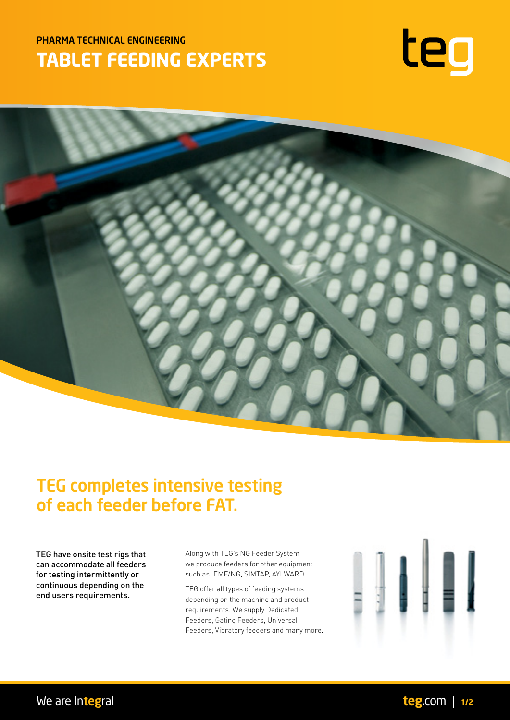# PHARMA TECHNICAL ENGINEERING **TABLET FEEDING EXPERTS**





# TEG completes intensive testing of each feeder before FAT.

TEG have onsite test rigs that can accommodate all feeders for testing intermittently or continuous depending on the end users requirements.

Along with TEG's NG Feeder System we produce feeders for other equipment such as: EMF/NG, SIMTAP, AYLWARD.

TEG offer all types of feeding systems depending on the machine and product requirements. We supply Dedicated Feeders, Gating Feeders, Universal Feeders, Vibratory feeders and many more.